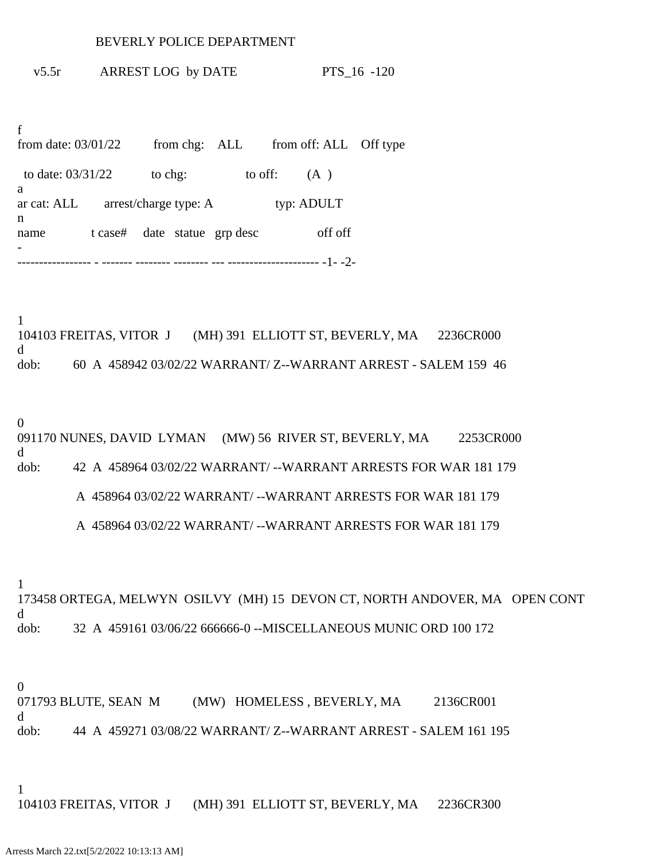## BEVERLY POLICE DEPARTMENT

v5.5r ARREST LOG by DATE PTS\_16 -120

f from date:  $03/01/22$  from chg: ALL from off: ALL Off type to date:  $03/31/22$  to chg: to off: (A) a ar cat: ALL arrest/charge type: A typ: ADULT n name t case# date statue grp desc off off - ----------------- - ------- -------- -------- --- --------------------- -1- -2-

1 104103 FREITAS, VITOR J (MH) 391 ELLIOTT ST, BEVERLY, MA 2236CR000 d dob: 60 A 458942 03/02/22 WARRANT/ Z--WARRANT ARREST - SALEM 159 46

## 0

091170 NUNES, DAVID LYMAN (MW) 56 RIVER ST, BEVERLY, MA 2253CR000 d dob: 42 A 458964 03/02/22 WARRANT/ --WARRANT ARRESTS FOR WAR 181 179

A 458964 03/02/22 WARRANT/ --WARRANT ARRESTS FOR WAR 181 179

A 458964 03/02/22 WARRANT/ --WARRANT ARRESTS FOR WAR 181 179

1

173458 ORTEGA, MELWYN OSILVY (MH) 15 DEVON CT, NORTH ANDOVER, MA OPEN CONT d dob: 32 A 459161 03/06/22 666666-0 --MISCELLANEOUS MUNIC ORD 100 172

0

071793 BLUTE, SEAN M (MW) HOMELESS, BEVERLY, MA 2136CR001 d dob: 44 A 459271 03/08/22 WARRANT/ Z--WARRANT ARREST - SALEM 161 195

1

104103 FREITAS, VITOR J (MH) 391 ELLIOTT ST, BEVERLY, MA 2236CR300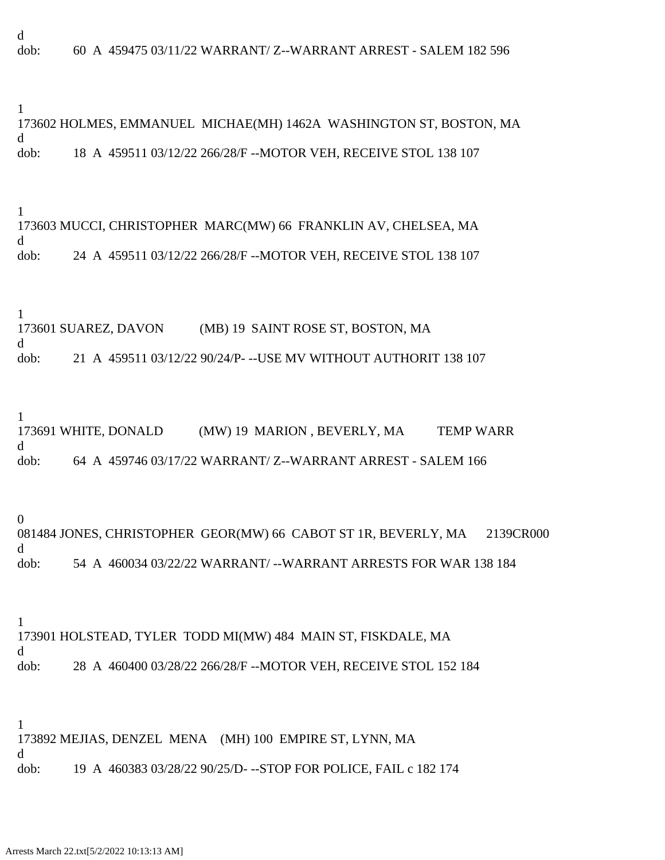d dob: 60 A 459475 03/11/22 WARRANT/ Z--WARRANT ARREST - SALEM 182 596

1

173602 HOLMES, EMMANUEL MICHAE(MH) 1462A WASHINGTON ST, BOSTON, MA d dob: 18 A 459511 03/12/22 266/28/F --MOTOR VEH, RECEIVE STOL 138 107

1 173603 MUCCI, CHRISTOPHER MARC(MW) 66 FRANKLIN AV, CHELSEA, MA d dob: 24 A 459511 03/12/22 266/28/F --MOTOR VEH, RECEIVE STOL 138 107

1 173601 SUAREZ, DAVON (MB) 19 SAINT ROSE ST, BOSTON, MA d dob: 21 A 459511 03/12/22 90/24/P- --USE MV WITHOUT AUTHORIT 138 107

1

173691 WHITE, DONALD (MW) 19 MARION , BEVERLY, MA TEMP WARR d dob: 64 A 459746 03/17/22 WARRANT/ Z--WARRANT ARREST - SALEM 166

0

081484 JONES, CHRISTOPHER GEOR(MW) 66 CABOT ST 1R, BEVERLY, MA 2139CR000 d dob: 54 A 460034 03/22/22 WARRANT/ --WARRANT ARRESTS FOR WAR 138 184

1 173901 HOLSTEAD, TYLER TODD MI(MW) 484 MAIN ST, FISKDALE, MA d dob: 28 A 460400 03/28/22 266/28/F --MOTOR VEH, RECEIVE STOL 152 184

1 173892 MEJIAS, DENZEL MENA (MH) 100 EMPIRE ST, LYNN, MA d dob: 19 A 460383 03/28/22 90/25/D- --STOP FOR POLICE, FAIL c 182 174